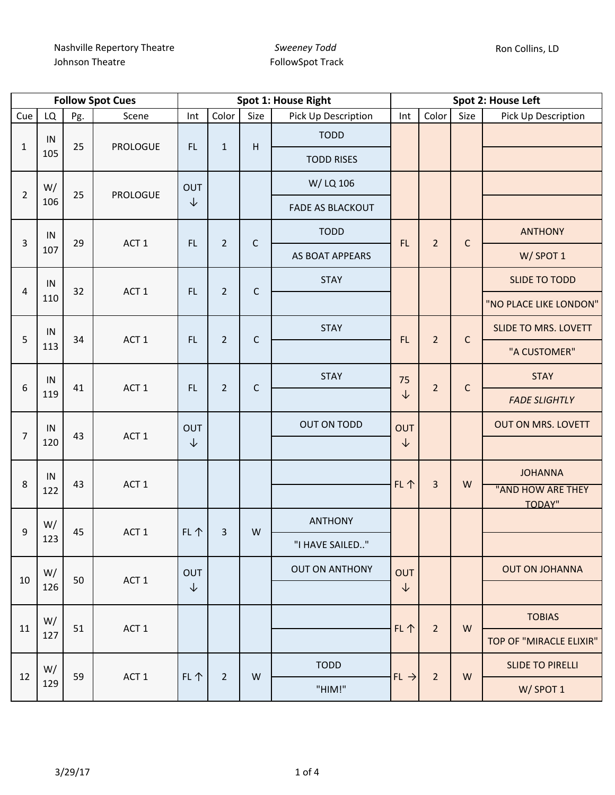|                  |           |     | <b>Follow Spot Cues</b> | Spot 1: House Right |                 |                                  |                         |                  | Spot 2: House Left |             |                                    |                |             |             |          |                |             |                             |  |  |      |   |   |                |  |  |  |  |
|------------------|-----------|-----|-------------------------|---------------------|-----------------|----------------------------------|-------------------------|------------------|--------------------|-------------|------------------------------------|----------------|-------------|-------------|----------|----------------|-------------|-----------------------------|--|--|------|---|---|----------------|--|--|--|--|
| Cue              | LQ        | Pg. | Scene                   | Int                 | Color           | Size                             | Pick Up Description     | Int              | Color              | Size        | Pick Up Description                |                |             |             |          |                |             |                             |  |  |      |   |   |                |  |  |  |  |
| $\mathbf{1}$     | IN        | 25  | <b>PROLOGUE</b>         | FL                  | $\mathbf{1}$    | $\mathsf{H}$                     | <b>TODD</b>             |                  |                    |             |                                    |                |             |             |          |                |             |                             |  |  |      |   |   |                |  |  |  |  |
|                  | 105       |     |                         |                     |                 |                                  | <b>TODD RISES</b>       |                  |                    |             |                                    |                |             |             |          |                |             |                             |  |  |      |   |   |                |  |  |  |  |
| $\overline{2}$   | W/<br>106 | 25  | <b>PROLOGUE</b>         | OUT                 |                 |                                  | W/LQ 106                |                  |                    |             |                                    |                |             |             |          |                |             |                             |  |  |      |   |   |                |  |  |  |  |
|                  |           |     |                         | $\downarrow$        |                 |                                  | <b>FADE AS BLACKOUT</b> |                  |                    |             |                                    |                |             |             |          |                |             |                             |  |  |      |   |   |                |  |  |  |  |
| 3                | IN        | 29  | ACT <sub>1</sub>        | FL                  | $\overline{2}$  | $\mathsf C$                      | <b>TODD</b>             | FL.              | $\overline{2}$     | $\mathsf C$ | <b>ANTHONY</b>                     |                |             |             |          |                |             |                             |  |  |      |   |   |                |  |  |  |  |
|                  | 107       |     |                         |                     |                 |                                  | AS BOAT APPEARS         |                  |                    |             | W/SPOT 1                           |                |             |             |          |                |             |                             |  |  |      |   |   |                |  |  |  |  |
| $\overline{4}$   | IN        | 32  | ACT <sub>1</sub>        | FL                  | $\overline{2}$  | $\mathsf{C}$                     | <b>STAY</b>             |                  |                    |             | <b>SLIDE TO TODD</b>               |                |             |             |          |                |             |                             |  |  |      |   |   |                |  |  |  |  |
|                  | 110       |     |                         |                     |                 |                                  |                         |                  |                    |             | "NO PLACE LIKE LONDON"             |                |             |             |          |                |             |                             |  |  |      |   |   |                |  |  |  |  |
| 5                | IN        | 34  | ACT <sub>1</sub>        |                     |                 |                                  |                         |                  |                    |             | FL                                 | $\overline{2}$ | $\mathsf C$ | <b>STAY</b> | FL.      | $\overline{2}$ | $\mathsf C$ | <b>SLIDE TO MRS. LOVETT</b> |  |  |      |   |   |                |  |  |  |  |
|                  | 113       |     |                         |                     |                 |                                  |                         | "A CUSTOMER"     |                    |             |                                    |                |             |             |          |                |             |                             |  |  |      |   |   |                |  |  |  |  |
| $\boldsymbol{6}$ | IN<br>119 | 41  | ACT <sub>1</sub>        | FL                  | $\overline{2}$  | <b>STAY</b><br>75<br>$\mathsf C$ | $\overline{2}$          | $\mathsf C$      | <b>STAY</b>        |             |                                    |                |             |             |          |                |             |                             |  |  |      |   |   |                |  |  |  |  |
|                  |           |     |                         |                     |                 |                                  |                         | ↓                |                    |             | <b>FADE SLIGHTLY</b>               |                |             |             |          |                |             |                             |  |  |      |   |   |                |  |  |  |  |
| $\overline{7}$   | IN        | 43  | ACT <sub>1</sub>        | OUT                 |                 |                                  | <b>OUT ON TODD</b>      | OUT              |                    |             | <b>OUT ON MRS. LOVETT</b>          |                |             |             |          |                |             |                             |  |  |      |   |   |                |  |  |  |  |
|                  | 120       |     |                         | $\downarrow$        |                 |                                  |                         | ↓                |                    |             |                                    |                |             |             |          |                |             |                             |  |  |      |   |   |                |  |  |  |  |
| 8                | IN        | 43  | ACT <sub>1</sub>        |                     |                 |                                  |                         | FL 个             | $\overline{3}$     | W           | <b>JOHANNA</b>                     |                |             |             |          |                |             |                             |  |  |      |   |   |                |  |  |  |  |
|                  | 122       |     |                         |                     |                 |                                  |                         |                  |                    |             | "AND HOW ARE THEY<br><b>TODAY"</b> |                |             |             |          |                |             |                             |  |  |      |   |   |                |  |  |  |  |
| 9                | W/        |     | 45<br>ACT <sub>1</sub>  |                     |                 |                                  |                         |                  |                    |             |                                    |                |             |             |          |                |             |                             |  |  | FL 个 | 3 | W | <b>ANTHONY</b> |  |  |  |  |
|                  | 123       |     |                         |                     | "I HAVE SAILED" |                                  |                         |                  |                    |             |                                    |                |             |             |          |                |             |                             |  |  |      |   |   |                |  |  |  |  |
| 10               | W/        |     | 50<br>ACT 1             | <b>OUT</b>          |                 |                                  | <b>OUT ON ANTHONY</b>   | <b>OUT</b>       |                    |             | <b>OUT ON JOHANNA</b>              |                |             |             |          |                |             |                             |  |  |      |   |   |                |  |  |  |  |
|                  | 126       |     |                         | $\downarrow$        |                 |                                  |                         | $\downarrow$     |                    |             |                                    |                |             |             |          |                |             |                             |  |  |      |   |   |                |  |  |  |  |
| 11               | W/<br>127 | 51  | ACT 1                   |                     |                 |                                  |                         | FL 个             | $\overline{2}$     | W           | <b>TOBIAS</b>                      |                |             |             |          |                |             |                             |  |  |      |   |   |                |  |  |  |  |
|                  |           |     |                         |                     |                 |                                  |                         |                  |                    |             | TOP OF "MIRACLE ELIXIR"            |                |             |             |          |                |             |                             |  |  |      |   |   |                |  |  |  |  |
| 12               | W/        | 59  |                         | FL 个                | 2               | W                                | <b>TODD</b>             | $FL \rightarrow$ | $\overline{2}$     | W           | <b>SLIDE TO PIRELLI</b>            |                |             |             |          |                |             |                             |  |  |      |   |   |                |  |  |  |  |
|                  | 129       |     | ACT 1                   |                     |                 |                                  |                         |                  |                    |             | "HIM!"                             |                |             |             | W/SPOT 1 |                |             |                             |  |  |      |   |   |                |  |  |  |  |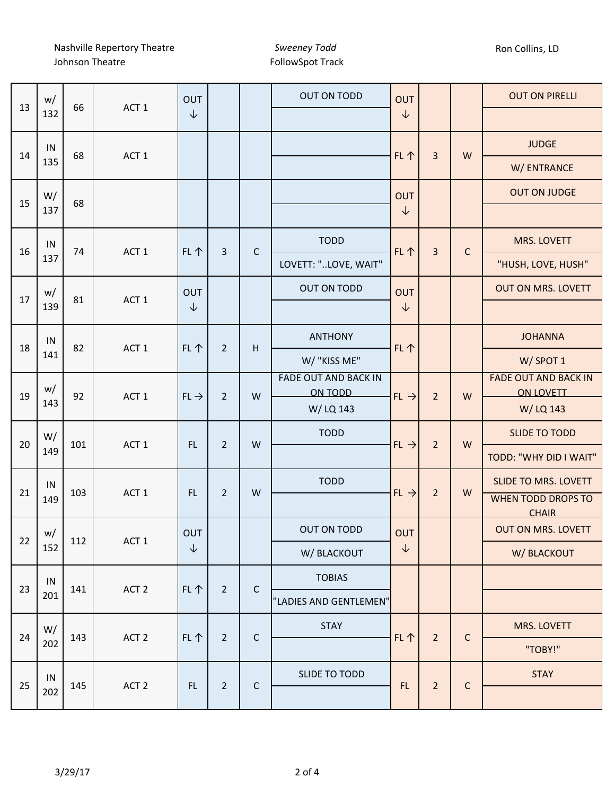Nashville Repertory Theatre Johnson Theatre

*Sweeney Todd* FollowSpot Track

| 13 | w/        | 66  | ACT <sub>1</sub> | OUT              |                |             | <b>OUT ON TODD</b>                     | <b>OUT</b>       |                         |              | <b>OUT ON PIRELLI</b>                           |
|----|-----------|-----|------------------|------------------|----------------|-------------|----------------------------------------|------------------|-------------------------|--------------|-------------------------------------------------|
|    | 132       |     |                  | $\downarrow$     |                |             |                                        | $\downarrow$     |                         |              |                                                 |
| 14 | IN        | 68  | ACT <sub>1</sub> |                  |                |             |                                        | FL 个             | 3                       | W            | <b>JUDGE</b>                                    |
|    | 135       |     |                  |                  |                |             |                                        |                  |                         |              | W/ ENTRANCE                                     |
| 15 | W/        | 68  |                  |                  |                |             |                                        | <b>OUT</b>       |                         |              | <b>OUT ON JUDGE</b>                             |
|    | 137       |     |                  |                  |                |             |                                        | $\downarrow$     |                         |              |                                                 |
| 16 | IN        | 74  | ACT <sub>1</sub> | FL个              | $\overline{3}$ | $\mathsf C$ | <b>TODD</b>                            | FL 个             | $\overline{\mathbf{3}}$ | $\mathsf{C}$ | MRS. LOVETT                                     |
|    | 137       |     |                  |                  |                |             | LOVETT: "LOVE, WAIT"                   |                  |                         |              | "HUSH, LOVE, HUSH"                              |
| 17 | w/        | 81  | ACT <sub>1</sub> | OUT              |                |             | OUT ON TODD                            | <b>OUT</b>       |                         |              | <b>OUT ON MRS. LOVETT</b>                       |
|    | 139       |     |                  | ↓                |                |             |                                        | ↓                |                         |              |                                                 |
| 18 | IN        | 82  | ACT <sub>1</sub> |                  | $\overline{2}$ |             | <b>ANTHONY</b>                         |                  |                         |              | <b>JOHANNA</b>                                  |
|    | 141       |     |                  | FL个              |                | Н           | W/ "KISS ME"                           | FL 个             |                         |              | W/SPOT 1                                        |
| 19 | w/<br>143 | 92  | ACT <sub>1</sub> |                  |                | W           | <b>FADE OUT AND BACK IN</b><br>ON TODD | $FL \rightarrow$ |                         |              | <b>FADE OUT AND BACK IN</b><br><b>ON LOVETT</b> |
|    |           |     |                  | $FL \rightarrow$ | $\overline{2}$ |             | W/LQ 143                               |                  | $\overline{2}$          | W            | W/LQ 143                                        |
|    | W/        |     |                  |                  |                |             | <b>TODD</b>                            |                  |                         |              | <b>SLIDE TO TODD</b>                            |
| 20 | 149       | 101 | ACT <sub>1</sub> | FL.              | $\overline{2}$ | W           |                                        | $FL \rightarrow$ | $\overline{2}$          | W            | TODD: "WHY DID I WAIT"                          |
|    | IN        |     |                  |                  |                |             | <b>TODD</b>                            |                  |                         |              | <b>SLIDE TO MRS. LOVETT</b>                     |
| 21 | 149       | 103 | ACT <sub>1</sub> | FL.              | $\overline{2}$ | W           |                                        | $FL \rightarrow$ | $\overline{2}$          | W            | <b>WHEN TODD DROPS TO</b><br><b>CHAIR</b>       |
| 22 | w/        | 112 | ACT <sub>1</sub> | OUT              |                |             | <b>OUT ON TODD</b>                     | OUT              |                         |              | <b>OUT ON MRS. LOVETT</b>                       |
|    | 152       |     |                  | ↓                |                |             | W/ BLACKOUT                            | $\downarrow$     |                         |              | W/ BLACKOUT                                     |
| 23 | IN        | 141 | ACT <sub>2</sub> | FL个              |                | $\mathsf C$ | <b>TOBIAS</b>                          |                  |                         |              |                                                 |
|    | 201       |     |                  |                  | $\overline{2}$ |             | "LADIES AND GENTLEMEN"                 |                  |                         |              |                                                 |
|    | W/        | 143 |                  | FL个              | $\overline{2}$ | $\mathsf C$ | <b>STAY</b>                            | FL 个             | $\overline{2}$          | $\mathsf{C}$ | MRS. LOVETT                                     |
| 24 | 202       |     | ACT <sub>2</sub> |                  |                |             |                                        |                  |                         |              | "TOBY!"                                         |
|    | IN        |     |                  |                  |                |             | SLIDE TO TODD                          |                  |                         |              | <b>STAY</b>                                     |
| 25 | 202       | 145 | ACT <sub>2</sub> | FL.              | $\overline{2}$ | $\mathsf C$ |                                        | FL               | $\overline{2}$          | $\mathsf{C}$ |                                                 |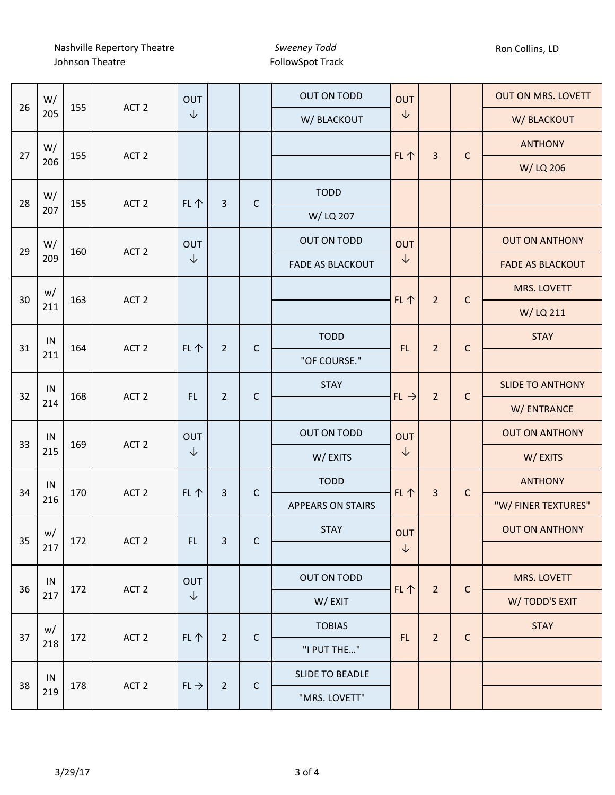Nashville Repertory Theatre Johnson Theatre

*Sweeney Todd* FollowSpot Track

| 26 | W/        | 155 | ACT <sub>2</sub> | OUT              |                |             | OUT ON TODD              | OUT                    |                |             | <b>OUT ON MRS. LOVETT</b> |
|----|-----------|-----|------------------|------------------|----------------|-------------|--------------------------|------------------------|----------------|-------------|---------------------------|
|    | 205       |     |                  | $\downarrow$     |                |             | W/ BLACKOUT              | $\downarrow$           |                |             | W/ BLACKOUT               |
| 27 | W/<br>206 |     | ACT <sub>2</sub> |                  |                |             |                          | FL 个<br>$\overline{3}$ |                | $\mathsf C$ | <b>ANTHONY</b>            |
|    |           | 155 |                  |                  |                |             |                          |                        |                | W/LQ 206    |                           |
| 28 | W/        | 155 | ACT <sub>2</sub> | FL 个             | 3              | $\mathsf C$ | <b>TODD</b>              |                        |                |             |                           |
|    | 207       |     |                  |                  |                |             | W/ LQ 207                |                        |                |             |                           |
| 29 | W/        | 160 | ACT <sub>2</sub> | OUT              |                |             | OUT ON TODD              | <b>OUT</b>             |                |             | <b>OUT ON ANTHONY</b>     |
|    | 209       |     |                  | $\downarrow$     |                |             | <b>FADE AS BLACKOUT</b>  | ↓                      |                |             | <b>FADE AS BLACKOUT</b>   |
| 30 | w/        | 163 | ACT <sub>2</sub> |                  |                |             |                          | FL 个                   | $\overline{2}$ | $\mathsf C$ | <b>MRS. LOVETT</b>        |
|    | 211       |     |                  |                  |                |             |                          |                        |                |             | W/LQ 211                  |
| 31 | IN        | 164 | ACT <sub>2</sub> | FL 个             | $\overline{2}$ | $\mathsf C$ | <b>TODD</b>              | FL.                    | $\overline{2}$ | $\mathsf C$ | <b>STAY</b>               |
|    | 211       |     |                  |                  |                |             | "OF COURSE."             |                        |                |             |                           |
| 32 | IN<br>214 | 168 | ACT <sub>2</sub> | FL.              | $\overline{2}$ | $\mathsf C$ | <b>STAY</b>              | $FL \rightarrow$       | $\overline{2}$ | $\mathsf C$ | <b>SLIDE TO ANTHONY</b>   |
|    |           |     |                  |                  |                |             |                          |                        |                |             | W/ ENTRANCE               |
| 33 | IN        | 169 | ACT <sub>2</sub> | OUT              |                |             | OUT ON TODD              | <b>OUT</b>             |                |             | <b>OUT ON ANTHONY</b>     |
|    | 215       |     |                  | $\downarrow$     |                |             | W/EXITS                  | ↓                      |                |             | W/EXITS                   |
| 34 | IN        | 170 | ACT <sub>2</sub> | FL 个             | 3              | $\mathsf C$ | <b>TODD</b>              | FL 个                   | $\overline{3}$ | $\mathsf C$ | <b>ANTHONY</b>            |
|    | 216       |     |                  |                  |                |             | <b>APPEARS ON STAIRS</b> |                        |                |             | "W/ FINER TEXTURES"       |
| 35 | w/        | 172 | ACT <sub>2</sub> | FL.              | 3              | $\mathsf C$ | <b>STAY</b>              | <b>OUT</b>             |                |             | <b>OUT ON ANTHONY</b>     |
|    | 217       |     |                  |                  |                |             |                          | $\downarrow$           |                |             |                           |
| 36 | IN        | 172 | ACT <sub>2</sub> | <b>OUT</b>       |                |             | OUT ON TODD              | <b>FL个</b>             | $\overline{2}$ | $\mathsf C$ | MRS. LOVETT               |
|    | 217       |     |                  | $\downarrow$     |                |             | W/EXIT                   |                        |                |             | W/TODD'S EXIT             |
| 37 | w/        | 172 | ACT <sub>2</sub> | FL 个             | $\overline{2}$ | $\mathsf C$ | <b>TOBIAS</b>            | FL.                    | $\overline{2}$ | $\mathsf C$ | <b>STAY</b>               |
|    | 218       |     |                  |                  |                |             | "I PUT THE"              |                        |                |             |                           |
|    | IN        |     |                  | $FL \rightarrow$ | $\overline{2}$ | $\mathsf C$ | <b>SLIDE TO BEADLE</b>   |                        |                |             |                           |
| 38 | 219       | 178 | ACT <sub>2</sub> |                  |                |             | "MRS. LOVETT"            |                        |                |             |                           |